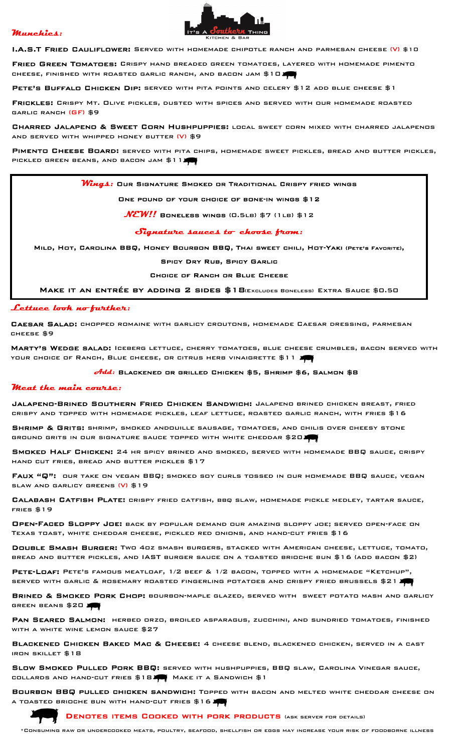# Munchies:



I.A.S.T Fried Cauliflower: Served with homemade chipotle ranch and parmesan cheese (V) \$10

FRIED GREEN TOMATOES: CRISPY HAND BREADED GREEN TOMATOES, LAYERED WITH HOMEMADE PIMENTO cheese, finished with roasted garlic ranch, and bacon jam \$10

PETE'S BUFFALO CHICKEN DIP: SERVED WITH PITA POINTS AND CELERY \$12 ADD BLUE CHEESE \$1

Frickles: Crispy Mt. Olive pickles, dusted with spices and served with our homemade roasted garlic ranch (GF) \$9

Charred Jalapeno & Sweet Corn Hushpuppies: local sweet corn mixed with charred jalapenos and served with whipped honey butter (V) \$9

PIMENTO CHEESE BOARD: SERVED WITH PITA CHIPS, HOMEMADE SWEET PICKLES, BREAD AND BUTTER PICKLES, PICKLED GREEN BEANS, AND BACON JAM \$11

 $\bm{W_{\bm{u}\bm{q}\bm{\varLambda}}}$ : Our Signature Smoked or Traditional Crispy fried wings

#### One pound of your choice of bone-in wings \$12

 $NEW!!$  Boneless wings (0.5LB) \$7 (1LB) \$12

### Signature sauces to choose from:

Mild, Hot, Carolina BBQ, Honey Bourbon BBQ, Thai sweet chili, Hot-Yaki (Pete's Favorite),

#### Spicy Dry Rub, Spicy Garlic

Choice of Ranch or Blue Cheese

Make it an entrée by adding 2 sides \$18(Excludes Boneless) Extra Sauce \$0.50

#### Lettuce look no further:

Caesar Salad: chopped romaine with garlicy croutons, homemade Caesar dressing, parmesan cheese \$9

Marty's Wedge salad: Iceberg lettuce, cherry tomatoes, blue cheese crumbles, bacon served with YOUR CHOICE OF RANCH, BLUE CHEESE, OR CITRUS HERB VINAIGRETTE \$11 **AC** 

### $\partial t$ d $d$ : Blackened or grilled Chicken \$5, Shrimp \$6, Salmon \$8

#### Meat the main course:

Jalapeno-Brined Southern Fried Chicken Sandwich: Jalapeno brined chicken breast, fried crispy and topped with homemade pickles, leaf lettuce, roasted garlic ranch, with fries \$16

SHRIMP & GRITS: SHRIMP, SMOKED ANDOUILLE SAUSAGE, TOMATOES, AND CHILIS OVER CHEESY STONE ground grits in our signature sauce topped with white cheddar \$20

Smoked Half Chicken: 24 hr spicy brined and smoked, served with homemade BBQ sauce, crispy hand cut fries, bread and butter pickles \$17

Faux "Q": our take on vegan BBQ; smoked soy curls tossed in our homemade BBQ sauce, vegan slaw and garlicy greens (V) \$19

Calabash Catfish Plate: crispy fried catfish, bbq slaw, homemade pickle medley, tartar sauce, fries \$19

Open-Faced Sloppy Joe: back by popular demand our amazing sloppy joe; served open-face on Texas toast, white cheddar cheese, pickled red onions, and hand-cut fries \$16

Double Smash Burger: Two 4oz smash burgers, stacked with American cheese, lettuce, tomato, bread and butter pickles, and IAST burger sauce on a toasted brioche bun \$16 (add bacon \$2)

PETE-LOAF: PETE'S FAMOUS MEATLOAF, 1/2 BEEF & 1/2 BACON, TOPPED WITH A HOMEMADE "KETCHUP", served with garlic & rosemary roasted fingerling potatoes and crispy fried brussels \$21

**BRINED & SMOKED PORK CHOP:** BOURBON-MAPLE GLAZED, SERVED WITH SWEET POTATO MASH AND GARLICY GREEN BEANS \$20

PAN SEARED SALMON: HERBED ORZO, BROILED ASPARAGUS, ZUCCHINI, AND SUNDRIED TOMATOES, FINISHED WITH A WHITE WINE LEMON SAUCE \$27

Blackened Chicken Baked Mac & Cheese: 4 cheese blend, blackened chicken, served in a cast iron skillet \$18

Slow Smoked Pulled Pork BBQ: served with hushpuppies, BBQ slaw, Carolina Vinegar sauce, collards and hand-cut fries \$18 Make it a Sandwich \$1

Bourbon BBQ pulled chicken sandwich: Topped with bacon and melted white cheddar cheese on a toasted brioche bun with hand-cut fries \$16



DENOTES ITEMS COOKED WITH PORK PRODUCTS (ASK SERVER FOR DETAILS)

\*Consuming raw or undercooked meats, poultry, seafood, shellfish or eggs may increase your risk of foodborne illness